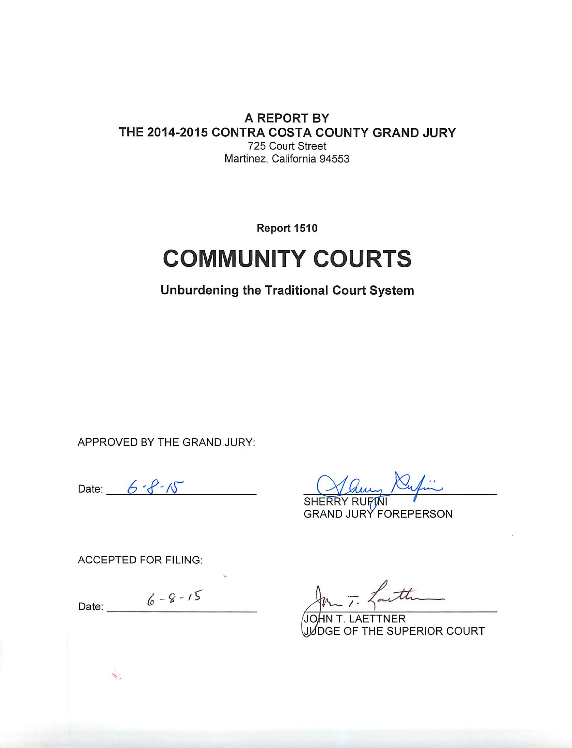#### A REPORT BY THE 2014-2015 CONTRA COSTA COUNTY GRAND JURY 725 Court Street Martinez, California 94553

Report 1510

# **COMMUNITY COURTS**

**Unburdening the Traditional Court System** 

APPROVED BY THE GRAND JURY:

Date:  $6 - 8 - 15$ 

**GRAND JURY FOREPERSON** 

**ACCEPTED FOR FILING:** 

 $6 - 8 - 15$ Date:  $\overline{\phantom{a}}$ 

**TTNER** JUDGE OF THE SUPERIOR COURT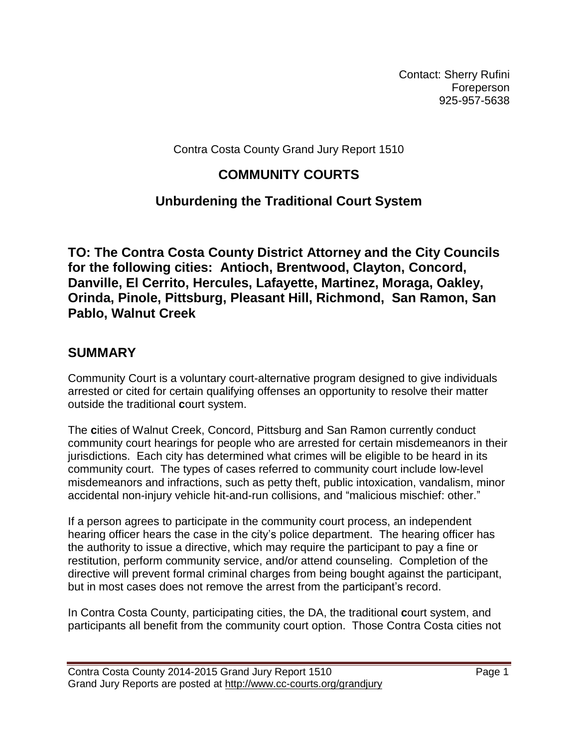Contact: Sherry Rufini Foreperson 925-957-5638

Contra Costa County Grand Jury Report 1510

# **COMMUNITY COURTS**

# **Unburdening the Traditional Court System**

**TO: The Contra Costa County District Attorney and the City Councils for the following cities: Antioch, Brentwood, Clayton, Concord, Danville, El Cerrito, Hercules, Lafayette, Martinez, Moraga, Oakley, Orinda, Pinole, Pittsburg, Pleasant Hill, Richmond, San Ramon, San Pablo, Walnut Creek**

## **SUMMARY**

Community Court is a voluntary court-alternative program designed to give individuals arrested or cited for certain qualifying offenses an opportunity to resolve their matter outside the traditional **c**ourt system.

The **c**ities of Walnut Creek, Concord, Pittsburg and San Ramon currently conduct community court hearings for people who are arrested for certain misdemeanors in their jurisdictions. Each city has determined what crimes will be eligible to be heard in its community court. The types of cases referred to community court include low-level misdemeanors and infractions, such as petty theft, public intoxication, vandalism, minor accidental non-injury vehicle hit-and-run collisions, and "malicious mischief: other."

If a person agrees to participate in the community court process, an independent hearing officer hears the case in the city's police department. The hearing officer has the authority to issue a directive, which may require the participant to pay a fine or restitution, perform community service, and/or attend counseling. Completion of the directive will prevent formal criminal charges from being bought against the participant, but in most cases does not remove the arrest from the participant's record.

In Contra Costa County, participating cities, the DA, the traditional **c**ourt system, and participants all benefit from the community court option. Those Contra Costa cities not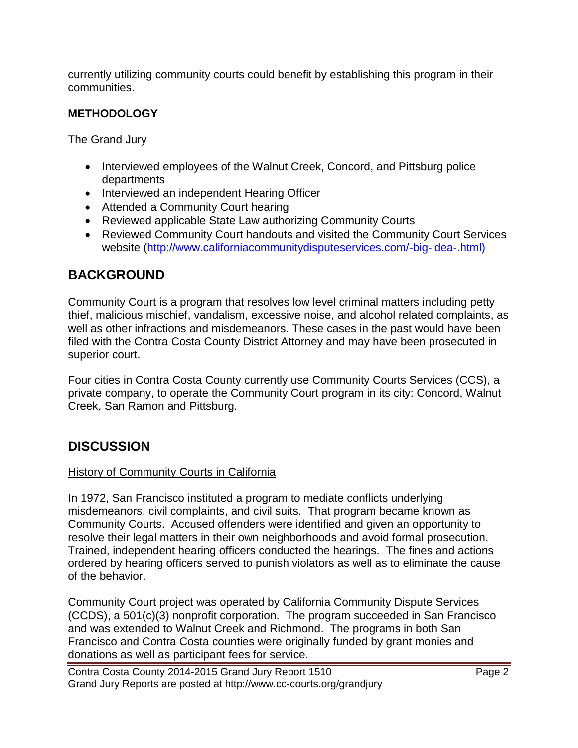currently utilizing community courts could benefit by establishing this program in their communities.

## **METHODOLOGY**

The Grand Jury

- Interviewed employees of the Walnut Creek, Concord, and Pittsburg police departments
- Interviewed an independent Hearing Officer
- Attended a Community Court hearing
- Reviewed applicable State Law authorizing Community Courts
- Reviewed Community Court handouts and visited the Community Court Services website [\(http://www.californiacommunitydisputeservices.com/-big-idea-.html\)](http://www.californiacommunitydisputeservices.com/-big-idea-.html)

## **BACKGROUND**

Community Court is a program that resolves low level criminal matters including petty thief, malicious mischief, vandalism, excessive noise, and alcohol related complaints, as well as other infractions and misdemeanors. These cases in the past would have been filed with the Contra Costa County District Attorney and may have been prosecuted in superior court.

Four cities in Contra Costa County currently use Community Courts Services (CCS), a private company, to operate the Community Court program in its city: Concord, Walnut Creek, San Ramon and Pittsburg.

# **DISCUSSION**

#### History of Community Courts in California

In 1972, San Francisco instituted a program to mediate conflicts underlying misdemeanors, civil complaints, and civil suits. That program became known as Community Courts. Accused offenders were identified and given an opportunity to resolve their legal matters in their own neighborhoods and avoid formal prosecution. Trained, independent hearing officers conducted the hearings. The fines and actions ordered by hearing officers served to punish violators as well as to eliminate the cause of the behavior.

Community Court project was operated by California Community Dispute Services (CCDS), a 501(c)(3) nonprofit corporation. The program succeeded in San Francisco and was extended to Walnut Creek and Richmond. The programs in both San Francisco and Contra Costa counties were originally funded by grant monies and donations as well as participant fees for service.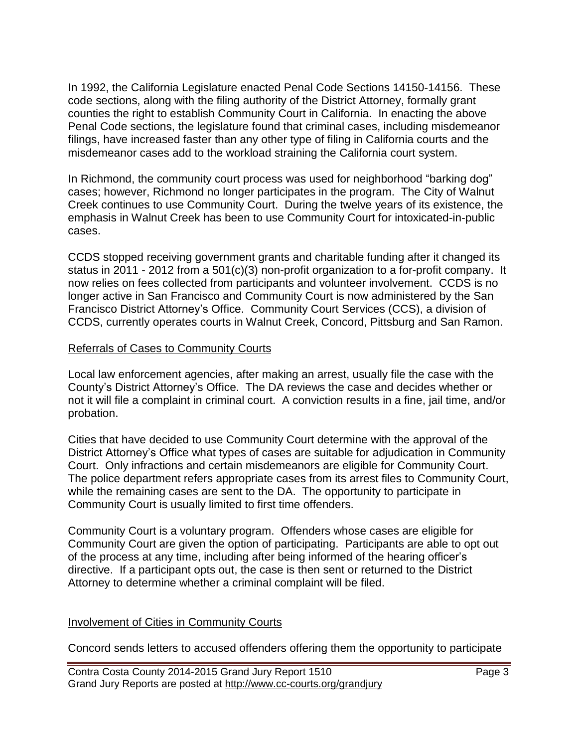In 1992, the California Legislature enacted Penal Code Sections 14150-14156. These code sections, along with the filing authority of the District Attorney, formally grant counties the right to establish Community Court in California. In enacting the above Penal Code sections, the legislature found that criminal cases, including misdemeanor filings, have increased faster than any other type of filing in California courts and the misdemeanor cases add to the workload straining the California court system.

In Richmond, the community court process was used for neighborhood "barking dog" cases; however, Richmond no longer participates in the program. The City of Walnut Creek continues to use Community Court. During the twelve years of its existence, the emphasis in Walnut Creek has been to use Community Court for intoxicated-in-public cases.

CCDS stopped receiving government grants and charitable funding after it changed its status in 2011 - 2012 from a 501(c)(3) non-profit organization to a for-profit company. It now relies on fees collected from participants and volunteer involvement. CCDS is no longer active in San Francisco and Community Court is now administered by the San Francisco District Attorney's Office. Community Court Services (CCS), a division of CCDS, currently operates courts in Walnut Creek, Concord, Pittsburg and San Ramon.

#### Referrals of Cases to Community Courts

Local law enforcement agencies, after making an arrest, usually file the case with the County's District Attorney's Office. The DA reviews the case and decides whether or not it will file a complaint in criminal court. A conviction results in a fine, jail time, and/or probation.

Cities that have decided to use Community Court determine with the approval of the District Attorney's Office what types of cases are suitable for adjudication in Community Court. Only infractions and certain misdemeanors are eligible for Community Court. The police department refers appropriate cases from its arrest files to Community Court, while the remaining cases are sent to the DA. The opportunity to participate in Community Court is usually limited to first time offenders.

Community Court is a voluntary program. Offenders whose cases are eligible for Community Court are given the option of participating. Participants are able to opt out of the process at any time, including after being informed of the hearing officer's directive. If a participant opts out, the case is then sent or returned to the District Attorney to determine whether a criminal complaint will be filed.

#### Involvement of Cities in Community Courts

Concord sends letters to accused offenders offering them the opportunity to participate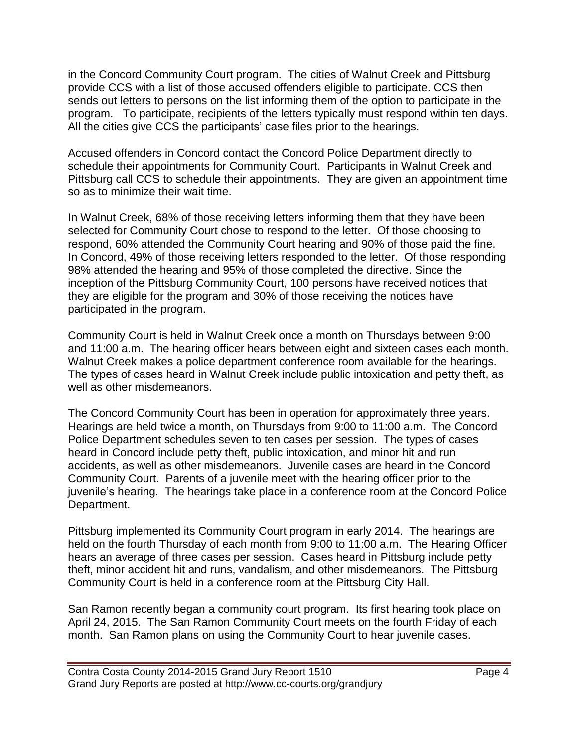in the Concord Community Court program. The cities of Walnut Creek and Pittsburg provide CCS with a list of those accused offenders eligible to participate. CCS then sends out letters to persons on the list informing them of the option to participate in the program. To participate, recipients of the letters typically must respond within ten days. All the cities give CCS the participants' case files prior to the hearings.

Accused offenders in Concord contact the Concord Police Department directly to schedule their appointments for Community Court. Participants in Walnut Creek and Pittsburg call CCS to schedule their appointments. They are given an appointment time so as to minimize their wait time.

In Walnut Creek, 68% of those receiving letters informing them that they have been selected for Community Court chose to respond to the letter. Of those choosing to respond, 60% attended the Community Court hearing and 90% of those paid the fine. In Concord, 49% of those receiving letters responded to the letter. Of those responding 98% attended the hearing and 95% of those completed the directive. Since the inception of the Pittsburg Community Court, 100 persons have received notices that they are eligible for the program and 30% of those receiving the notices have participated in the program.

Community Court is held in Walnut Creek once a month on Thursdays between 9:00 and 11:00 a.m. The hearing officer hears between eight and sixteen cases each month. Walnut Creek makes a police department conference room available for the hearings. The types of cases heard in Walnut Creek include public intoxication and petty theft, as well as other misdemeanors.

The Concord Community Court has been in operation for approximately three years. Hearings are held twice a month, on Thursdays from 9:00 to 11:00 a.m. The Concord Police Department schedules seven to ten cases per session. The types of cases heard in Concord include petty theft, public intoxication, and minor hit and run accidents, as well as other misdemeanors. Juvenile cases are heard in the Concord Community Court. Parents of a juvenile meet with the hearing officer prior to the juvenile's hearing. The hearings take place in a conference room at the Concord Police Department.

Pittsburg implemented its Community Court program in early 2014. The hearings are held on the fourth Thursday of each month from 9:00 to 11:00 a.m. The Hearing Officer hears an average of three cases per session. Cases heard in Pittsburg include petty theft, minor accident hit and runs, vandalism, and other misdemeanors. The Pittsburg Community Court is held in a conference room at the Pittsburg City Hall.

San Ramon recently began a community court program. Its first hearing took place on April 24, 2015. The San Ramon Community Court meets on the fourth Friday of each month. San Ramon plans on using the Community Court to hear juvenile cases.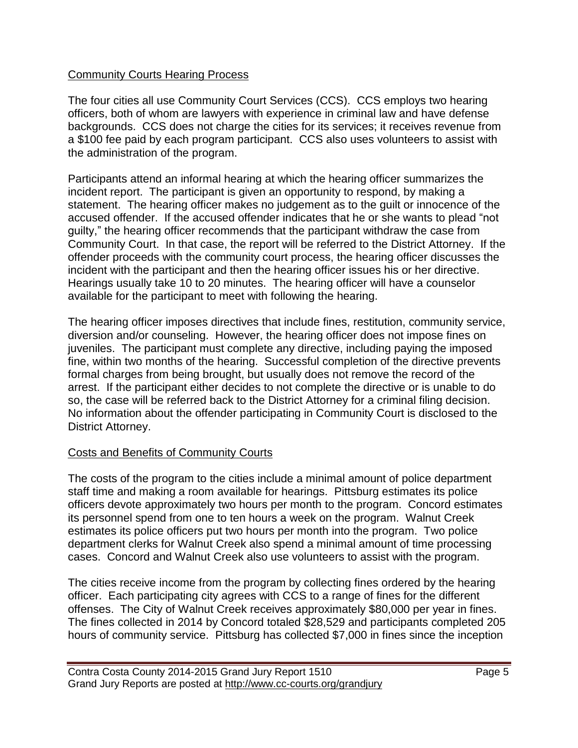#### Community Courts Hearing Process

The four cities all use Community Court Services (CCS). CCS employs two hearing officers, both of whom are lawyers with experience in criminal law and have defense backgrounds. CCS does not charge the cities for its services; it receives revenue from a \$100 fee paid by each program participant. CCS also uses volunteers to assist with the administration of the program.

Participants attend an informal hearing at which the hearing officer summarizes the incident report. The participant is given an opportunity to respond, by making a statement. The hearing officer makes no judgement as to the guilt or innocence of the accused offender. If the accused offender indicates that he or she wants to plead "not guilty," the hearing officer recommends that the participant withdraw the case from Community Court. In that case, the report will be referred to the District Attorney. If the offender proceeds with the community court process, the hearing officer discusses the incident with the participant and then the hearing officer issues his or her directive. Hearings usually take 10 to 20 minutes. The hearing officer will have a counselor available for the participant to meet with following the hearing.

The hearing officer imposes directives that include fines, restitution, community service, diversion and/or counseling. However, the hearing officer does not impose fines on juveniles. The participant must complete any directive, including paying the imposed fine, within two months of the hearing. Successful completion of the directive prevents formal charges from being brought, but usually does not remove the record of the arrest. If the participant either decides to not complete the directive or is unable to do so, the case will be referred back to the District Attorney for a criminal filing decision. No information about the offender participating in Community Court is disclosed to the District Attorney.

#### Costs and Benefits of Community Courts

The costs of the program to the cities include a minimal amount of police department staff time and making a room available for hearings. Pittsburg estimates its police officers devote approximately two hours per month to the program. Concord estimates its personnel spend from one to ten hours a week on the program. Walnut Creek estimates its police officers put two hours per month into the program. Two police department clerks for Walnut Creek also spend a minimal amount of time processing cases. Concord and Walnut Creek also use volunteers to assist with the program.

The cities receive income from the program by collecting fines ordered by the hearing officer. Each participating city agrees with CCS to a range of fines for the different offenses. The City of Walnut Creek receives approximately \$80,000 per year in fines. The fines collected in 2014 by Concord totaled \$28,529 and participants completed 205 hours of community service. Pittsburg has collected \$7,000 in fines since the inception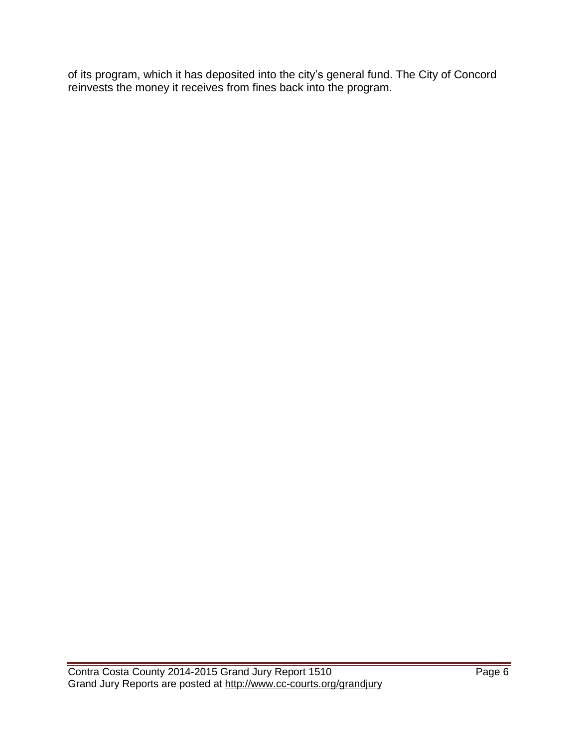of its program, which it has deposited into the city's general fund. The City of Concord reinvests the money it receives from fines back into the program.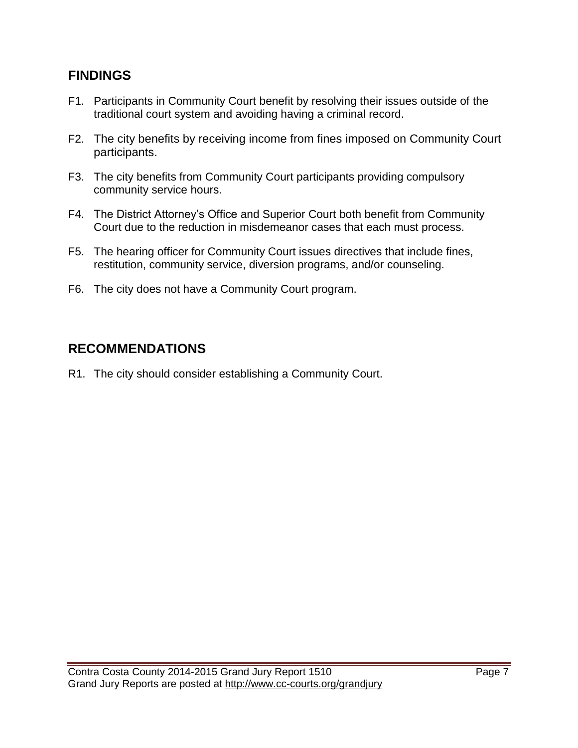## **FINDINGS**

- F1. Participants in Community Court benefit by resolving their issues outside of the traditional court system and avoiding having a criminal record.
- F2. The city benefits by receiving income from fines imposed on Community Court participants.
- F3. The city benefits from Community Court participants providing compulsory community service hours.
- F4. The District Attorney's Office and Superior Court both benefit from Community Court due to the reduction in misdemeanor cases that each must process.
- F5. The hearing officer for Community Court issues directives that include fines, restitution, community service, diversion programs, and/or counseling.
- F6. The city does not have a Community Court program.

# **RECOMMENDATIONS**

R1. The city should consider establishing a Community Court.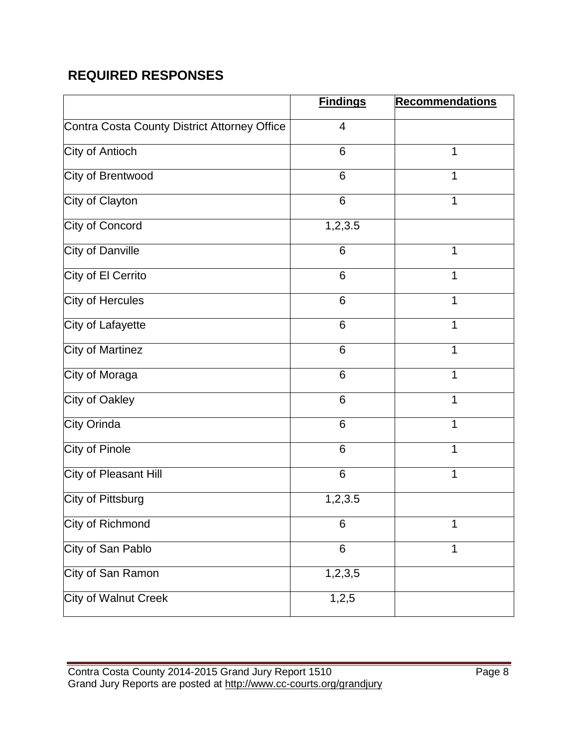# **REQUIRED RESPONSES**

|                                              | <b>Findings</b> | <b>Recommendations</b> |
|----------------------------------------------|-----------------|------------------------|
| Contra Costa County District Attorney Office | $\overline{4}$  |                        |
| City of Antioch                              | 6               | 1                      |
| City of Brentwood                            | 6               | 1                      |
| City of Clayton                              | 6               | 1                      |
| City of Concord                              | 1,2,3.5         |                        |
| City of Danville                             | 6               | 1                      |
| City of El Cerrito                           | 6               | 1                      |
| City of Hercules                             | 6               | 1                      |
| City of Lafayette                            | 6               | 1                      |
| City of Martinez                             | 6               | 1                      |
| City of Moraga                               | $6\phantom{1}6$ | 1                      |
| City of Oakley                               | 6               | 1                      |
| City Orinda                                  | 6               | 1                      |
| City of Pinole                               | 6               | 1                      |
| City of Pleasant Hill                        | 6               | 1                      |
| City of Pittsburg                            | 1,2,3.5         |                        |
| City of Richmond                             | 6               | 1                      |
| City of San Pablo                            | 6               | 1                      |
| City of San Ramon                            | 1, 2, 3, 5      |                        |
| <b>City of Walnut Creek</b>                  | 1, 2, 5         |                        |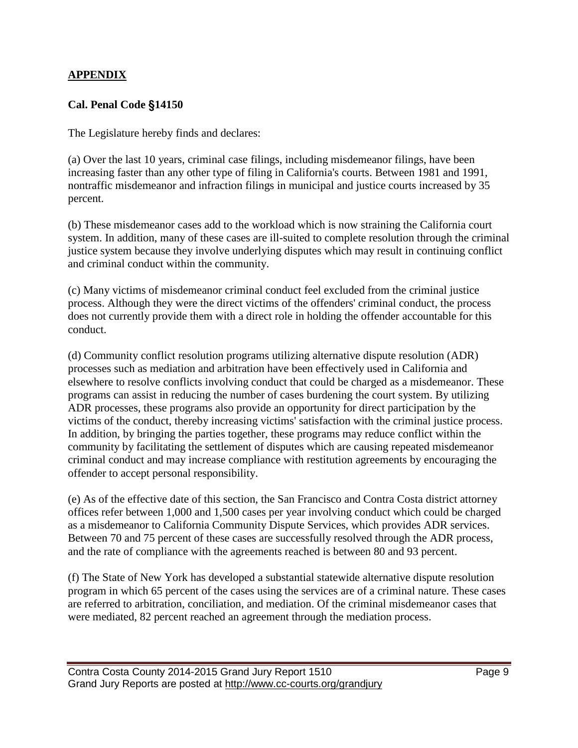#### **APPENDIX**

#### **Cal. Penal Code** §**14150**

The Legislature hereby finds and declares:

(a) Over the last 10 years, criminal case filings, including misdemeanor filings, have been increasing faster than any other type of filing in California's courts. Between 1981 and 1991, nontraffic misdemeanor and infraction filings in municipal and justice courts increased by 35 percent.

(b) These misdemeanor cases add to the workload which is now straining the California court system. In addition, many of these cases are ill-suited to complete resolution through the criminal justice system because they involve underlying disputes which may result in continuing conflict and criminal conduct within the community.

(c) Many victims of misdemeanor criminal conduct feel excluded from the criminal justice process. Although they were the direct victims of the offenders' criminal conduct, the process does not currently provide them with a direct role in holding the offender accountable for this conduct.

(d) Community conflict resolution programs utilizing alternative dispute resolution (ADR) processes such as mediation and arbitration have been effectively used in California and elsewhere to resolve conflicts involving conduct that could be charged as a misdemeanor. These programs can assist in reducing the number of cases burdening the court system. By utilizing ADR processes, these programs also provide an opportunity for direct participation by the victims of the conduct, thereby increasing victims' satisfaction with the criminal justice process. In addition, by bringing the parties together, these programs may reduce conflict within the community by facilitating the settlement of disputes which are causing repeated misdemeanor criminal conduct and may increase compliance with restitution agreements by encouraging the offender to accept personal responsibility.

(e) As of the effective date of this section, the San Francisco and Contra Costa district attorney offices refer between 1,000 and 1,500 cases per year involving conduct which could be charged as a misdemeanor to California Community Dispute Services, which provides ADR services. Between 70 and 75 percent of these cases are successfully resolved through the ADR process, and the rate of compliance with the agreements reached is between 80 and 93 percent.

(f) The State of New York has developed a substantial statewide alternative dispute resolution program in which 65 percent of the cases using the services are of a criminal nature. These cases are referred to arbitration, conciliation, and mediation. Of the criminal misdemeanor cases that were mediated, 82 percent reached an agreement through the mediation process.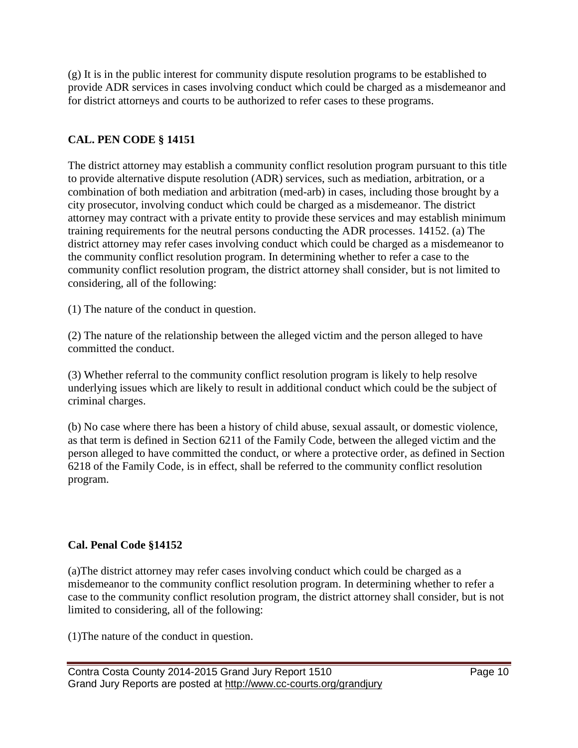(g) It is in the public interest for community dispute resolution programs to be established to provide ADR services in cases involving conduct which could be charged as a misdemeanor and for district attorneys and courts to be authorized to refer cases to these programs.

## **CAL. PEN CODE § 14151**

The district attorney may establish a community conflict resolution program pursuant to this title to provide alternative dispute resolution (ADR) services, such as mediation, arbitration, or a combination of both mediation and arbitration (med-arb) in cases, including those brought by a city prosecutor, involving conduct which could be charged as a misdemeanor. The district attorney may contract with a private entity to provide these services and may establish minimum training requirements for the neutral persons conducting the ADR processes. 14152. (a) The district attorney may refer cases involving conduct which could be charged as a misdemeanor to the community conflict resolution program. In determining whether to refer a case to the community conflict resolution program, the district attorney shall consider, but is not limited to considering, all of the following:

(1) The nature of the conduct in question.

(2) The nature of the relationship between the alleged victim and the person alleged to have committed the conduct.

(3) Whether referral to the community conflict resolution program is likely to help resolve underlying issues which are likely to result in additional conduct which could be the subject of criminal charges.

(b) No case where there has been a history of child abuse, sexual assault, or domestic violence, as that term is defined in Section 6211 of the Family Code, between the alleged victim and the person alleged to have committed the conduct, or where a protective order, as defined in Section 6218 of the Family Code, is in effect, shall be referred to the community conflict resolution program.

## **Cal. Penal Code §14152**

(a)The district attorney may refer cases involving conduct which could be charged as a misdemeanor to the community conflict resolution program. In determining whether to refer a case to the community conflict resolution program, the district attorney shall consider, but is not limited to considering, all of the following:

(1)The nature of the conduct in question.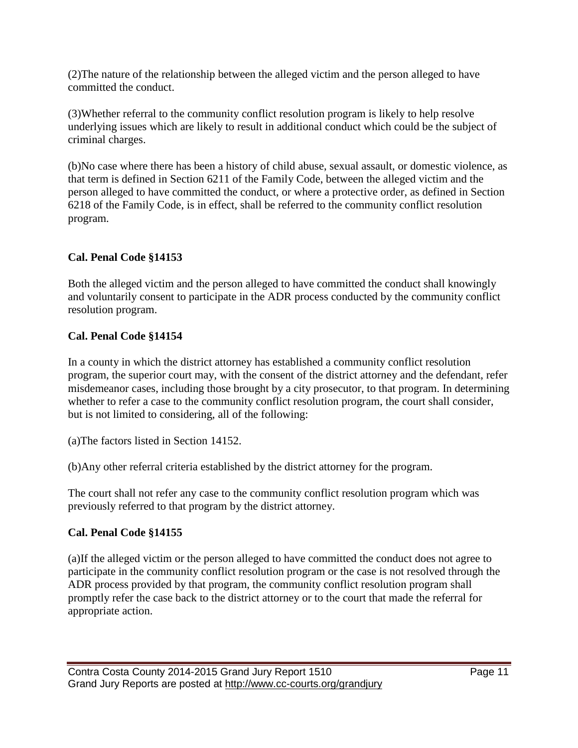(2)The nature of the relationship between the alleged victim and the person alleged to have committed the conduct.

(3)Whether referral to the community conflict resolution program is likely to help resolve underlying issues which are likely to result in additional conduct which could be the subject of criminal charges.

(b)No case where there has been a history of child abuse, sexual assault, or domestic violence, as that term is defined in Section 6211 of the Family Code, between the alleged victim and the person alleged to have committed the conduct, or where a protective order, as defined in Section 6218 of the Family Code, is in effect, shall be referred to the community conflict resolution program.

## **Cal. Penal Code §14153**

Both the alleged victim and the person alleged to have committed the conduct shall knowingly and voluntarily consent to participate in the ADR process conducted by the community conflict resolution program.

### **Cal. Penal Code §14154**

In a county in which the district attorney has established a community conflict resolution program, the superior court may, with the consent of the district attorney and the defendant, refer misdemeanor cases, including those brought by a city prosecutor, to that program. In determining whether to refer a case to the community conflict resolution program, the court shall consider, but is not limited to considering, all of the following:

(a)The factors listed in Section 14152.

(b)Any other referral criteria established by the district attorney for the program.

The court shall not refer any case to the community conflict resolution program which was previously referred to that program by the district attorney.

## **Cal. Penal Code §14155**

(a)If the alleged victim or the person alleged to have committed the conduct does not agree to participate in the community conflict resolution program or the case is not resolved through the ADR process provided by that program, the community conflict resolution program shall promptly refer the case back to the district attorney or to the court that made the referral for appropriate action.